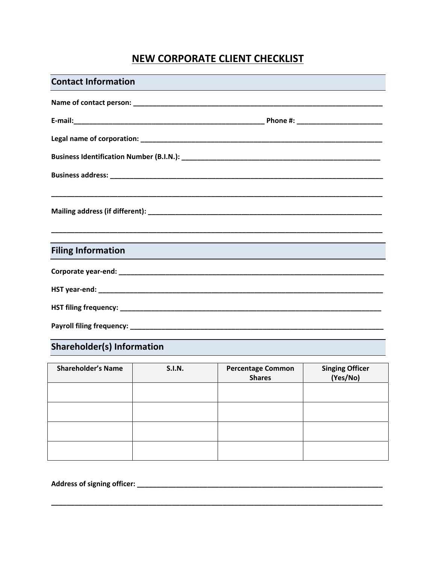## **NEW CORPORATE CLIENT CHECKLIST**

| <b>Contact Information</b> |  |
|----------------------------|--|
|                            |  |
|                            |  |
|                            |  |
|                            |  |
|                            |  |
|                            |  |
|                            |  |
|                            |  |
| <b>Filing Information</b>  |  |
|                            |  |
|                            |  |
|                            |  |
|                            |  |
|                            |  |

## Shareholder(s) Information

| <b>Shareholder's Name</b> | <b>S.I.N.</b> | <b>Percentage Common</b><br><b>Shares</b> | Singing Officer<br>(Yes/No) |
|---------------------------|---------------|-------------------------------------------|-----------------------------|
|                           |               |                                           |                             |
|                           |               |                                           |                             |
|                           |               |                                           |                             |
|                           |               |                                           |                             |